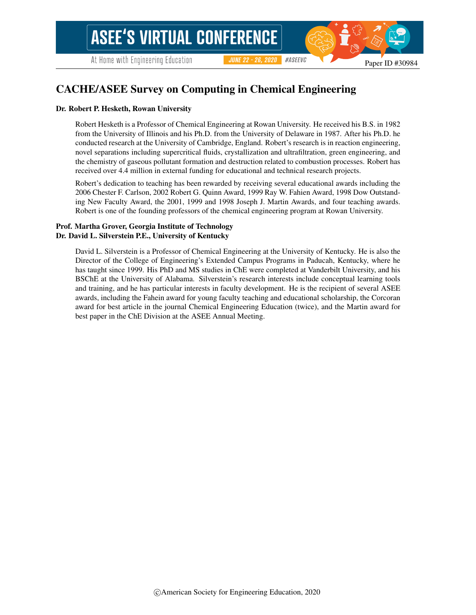# CACHE/ASEE Survey on Computing in Chemical Engineering

#### Dr. Robert P. Hesketh, Rowan University

Robert Hesketh is a Professor of Chemical Engineering at Rowan University. He received his B.S. in 1982 from the University of Illinois and his Ph.D. from the University of Delaware in 1987. After his Ph.D. he conducted research at the University of Cambridge, England. Robert's research is in reaction engineering, novel separations including supercritical fluids, crystallization and ultrafiltration, green engineering, and the chemistry of gaseous pollutant formation and destruction related to combustion processes. Robert has received over 4.4 million in external funding for educational and technical research projects.

Robert's dedication to teaching has been rewarded by receiving several educational awards including the 2006 Chester F. Carlson, 2002 Robert G. Quinn Award, 1999 Ray W. Fahien Award, 1998 Dow Outstanding New Faculty Award, the 2001, 1999 and 1998 Joseph J. Martin Awards, and four teaching awards. Robert is one of the founding professors of the chemical engineering program at Rowan University.

#### Prof. Martha Grover, Georgia Institute of Technology Dr. David L. Silverstein P.E., University of Kentucky

David L. Silverstein is a Professor of Chemical Engineering at the University of Kentucky. He is also the Director of the College of Engineering's Extended Campus Programs in Paducah, Kentucky, where he has taught since 1999. His PhD and MS studies in ChE were completed at Vanderbilt University, and his BSChE at the University of Alabama. Silverstein's research interests include conceptual learning tools and training, and he has particular interests in faculty development. He is the recipient of several ASEE awards, including the Fahein award for young faculty teaching and educational scholarship, the Corcoran award for best article in the journal Chemical Engineering Education (twice), and the Martin award for best paper in the ChE Division at the ASEE Annual Meeting.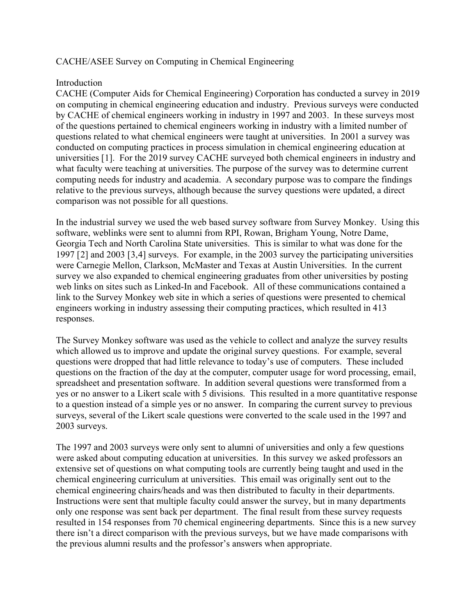## CACHE/ASEE Survey on Computing in Chemical Engineering

### Introduction

CACHE (Computer Aids for Chemical Engineering) Corporation has conducted a survey in 2019 on computing in chemical engineering education and industry. Previous surveys were conducted by CACHE of chemical engineers working in industry in 1997 and 2003. In these surveys most of the questions pertained to chemical engineers working in industry with a limited number of questions related to what chemical engineers were taught at universities. In 2001 a survey was conducted on computing practices in process simulation in chemical engineering education at universities [[1\]](#page-12-0). For the 2019 survey CACHE surveyed both chemical engineers in industry and what faculty were teaching at universities. The purpose of the survey was to determine current computing needs for industry and academia. A secondary purpose was to compare the findings relative to the previous surveys, although because the survey questions were updated, a direct comparison was not possible for all questions.

In the industrial survey we used the web based survey software from Survey Monkey. Using this software, weblinks were sent to alumni from RPI, Rowan, Brigham Young, Notre Dame, Georgia Tech and North Carolina State universities. This is similar to what was done for the 1997 [[2\]](#page-12-1) and 2003 [[3](#page-12-2),[4\]](#page-12-3) surveys. For example, in the 2003 survey the participating universities were Carnegie Mellon, Clarkson, McMaster and Texas at Austin Universities. In the current survey we also expanded to chemical engineering graduates from other universities by posting web links on sites such as Linked-In and Facebook. All of these communications contained a link to the Survey Monkey web site in which a series of questions were presented to chemical engineers working in industry assessing their computing practices, which resulted in 413 responses.

The Survey Monkey software was used as the vehicle to collect and analyze the survey results which allowed us to improve and update the original survey questions. For example, several questions were dropped that had little relevance to today's use of computers. These included questions on the fraction of the day at the computer, computer usage for word processing, email, spreadsheet and presentation software. In addition several questions were transformed from a yes or no answer to a Likert scale with 5 divisions. This resulted in a more quantitative response to a question instead of a simple yes or no answer. In comparing the current survey to previous surveys, several of the Likert scale questions were converted to the scale used in the 1997 and 2003 surveys.

The 1997 and 2003 surveys were only sent to alumni of universities and only a few questions were asked about computing education at universities. In this survey we asked professors an extensive set of questions on what computing tools are currently being taught and used in the chemical engineering curriculum at universities. This email was originally sent out to the chemical engineering chairs/heads and was then distributed to faculty in their departments. Instructions were sent that multiple faculty could answer the survey, but in many departments only one response was sent back per department. The final result from these survey requests resulted in 154 responses from 70 chemical engineering departments. Since this is a new survey there isn't a direct comparison with the previous surveys, but we have made comparisons with the previous alumni results and the professor's answers when appropriate.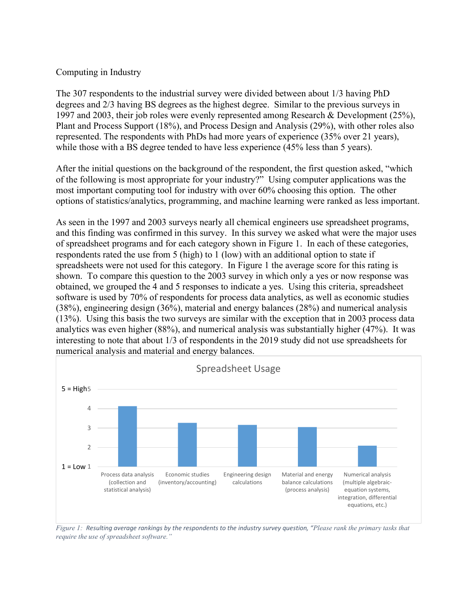#### Computing in Industry

The 307 respondents to the industrial survey were divided between about 1/3 having PhD degrees and 2/3 having BS degrees as the highest degree. Similar to the previous surveys in 1997 and 2003, their job roles were evenly represented among Research & Development (25%), Plant and Process Support (18%), and Process Design and Analysis (29%), with other roles also represented. The respondents with PhDs had more years of experience (35% over 21 years), while those with a BS degree tended to have less experience (45% less than 5 years).

After the initial questions on the background of the respondent, the first question asked, "which of the following is most appropriate for your industry?" Using computer applications was the most important computing tool for industry with over 60% choosing this option. The other options of statistics/analytics, programming, and machine learning were ranked as less important.

As seen in the 1997 and 2003 surveys nearly all chemical engineers use spreadsheet programs, and this finding was confirmed in this survey. In this survey we asked what were the major uses of spreadsheet programs and for each category shown in [Figure 1.](#page-2-0) In each of these categories, respondents rated the use from 5 (high) to 1 (low) with an additional option to state if spreadsheets were not used for this category. In [Figure 1](#page-2-0) the average score for this rating is shown. To compare this question to the 2003 survey in which only a yes or now response was obtained, we grouped the 4 and 5 responses to indicate a yes. Using this criteria, spreadsheet software is used by 70% of respondents for process data analytics, as well as economic studies (38%), engineering design (36%), material and energy balances (28%) and numerical analysis (13%). Using this basis the two surveys are similar with the exception that in 2003 process data analytics was even higher (88%), and numerical analysis was substantially higher (47%). It was interesting to note that about 1/3 of respondents in the 2019 study did not use spreadsheets for numerical analysis and material and energy balances.



<span id="page-2-0"></span>*Figure 1: Resulting average rankings by the respondents to the industry survey question, "Please rank the primary tasks that require the use of spreadsheet software."*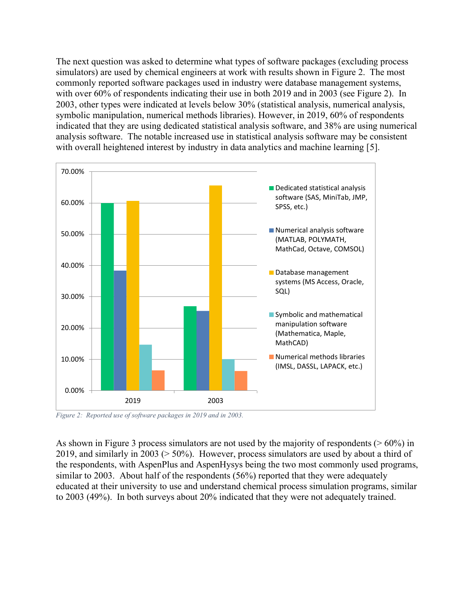The next question was asked to determine what types of software packages (excluding process simulators) are used by chemical engineers at work with results shown in [Figure 2.](#page-3-0) The most commonly reported software packages used in industry were database management systems, with over 60% of respondents indicating their use in both 2019 and in 2003 (see [Figure 2\)](#page-3-0). In 2003, other types were indicated at levels below 30% (statistical analysis, numerical analysis, symbolic manipulation, numerical methods libraries). However, in 2019, 60% of respondents indicated that they are using dedicated statistical analysis software, and 38% are using numerical analysis software. The notable increased use in statistical analysis software may be consistent with overall heightened interest by industry in data analytics and machine learning [[5\]](#page-12-4).



<span id="page-3-0"></span>*Figure 2: Reported use of software packages in 2019 and in 2003.*

As shown in [Figure 3](#page-4-0) process simulators are not used by the majority of respondents ( $> 60\%$ ) in 2019, and similarly in 2003 (> 50%). However, process simulators are used by about a third of the respondents, with AspenPlus and AspenHysys being the two most commonly used programs, similar to 2003. About half of the respondents (56%) reported that they were adequately educated at their university to use and understand chemical process simulation programs, similar to 2003 (49%). In both surveys about 20% indicated that they were not adequately trained.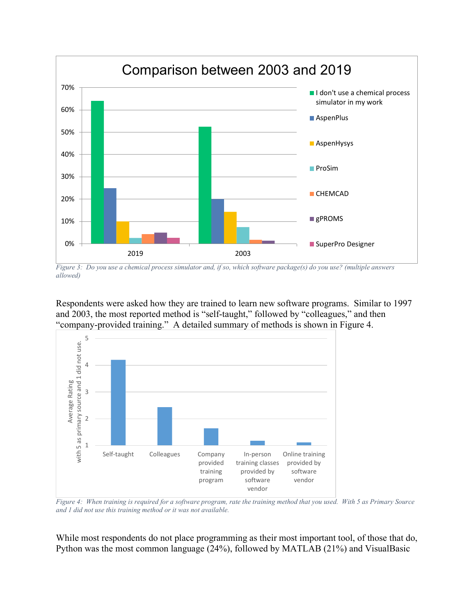

<span id="page-4-0"></span>*Figure 3: Do you use a chemical process simulator and, if so, which software package(s) do you use? (multiple answers allowed)*

Respondents were asked how they are trained to learn new software programs. Similar to 1997 and 2003, the most reported method is "self-taught," followed by "colleagues," and then "company-provided training." A detailed summary of methods is shown in [Figure 4.](#page-4-1)



<span id="page-4-1"></span>*Figure 4: When training is required for a software program, rate the training method that you used. With* 5 as Primary Source *and 1 did not use this training method or it was not available.*

While most respondents do not place programming as their most important tool, of those that do, Python was the most common language (24%), followed by MATLAB (21%) and VisualBasic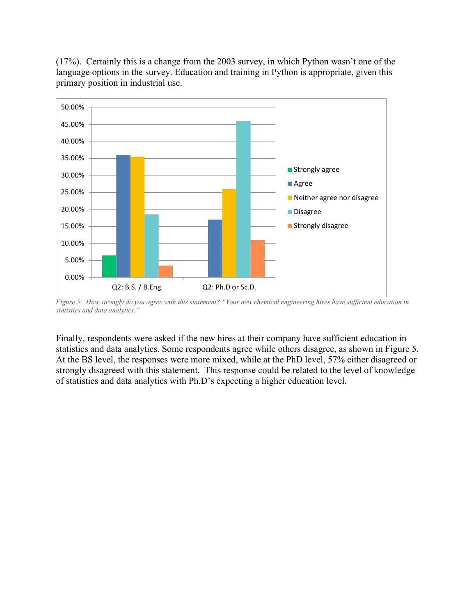

(17%). Certainly this is a change from the 2003 survey, in which Python wasn't one of the language options in the survey. Education and training in Python is appropriate, given this primary position in industrial use.

<span id="page-5-0"></span>*Figure 5: How strongly do you agree with this statement? "Your new chemical engineering hires have sufficient education in statistics and data analytics."*

Finally, respondents were asked if the new hires at their company have sufficient education in statistics and data analytics. Some respondents agree while others disagree, as shown in [Figure 5.](#page-5-0) At the BS level, the responses were more mixed, while at the PhD level, 57% either disagreed or strongly disagreed with this statement. This response could be related to the level of knowledge of statistics and data analytics with Ph.D's expecting a higher education level.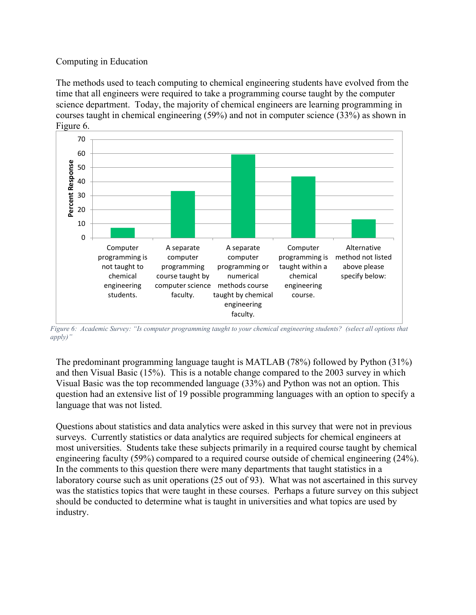## Computing in Education

The methods used to teach computing to chemical engineering students have evolved from the time that all engineers were required to take a programming course taught by the computer science department. Today, the majority of chemical engineers are learning programming in courses taught in chemical engineering (59%) and not in computer science (33%) as shown in [Figure 6.](#page-6-0)



<span id="page-6-0"></span>*Figure 6: Academic Survey: "Is computer programming taught to your chemical engineering students? (select all options that apply)"*

The predominant programming language taught is MATLAB (78%) followed by Python (31%) and then Visual Basic (15%). This is a notable change compared to the 2003 survey in which Visual Basic was the top recommended language (33%) and Python was not an option. This question had an extensive list of 19 possible programming languages with an option to specify a language that was not listed.

Questions about statistics and data analytics were asked in this survey that were not in previous surveys. Currently statistics or data analytics are required subjects for chemical engineers at most universities. Students take these subjects primarily in a required course taught by chemical engineering faculty (59%) compared to a required course outside of chemical engineering (24%). In the comments to this question there were many departments that taught statistics in a laboratory course such as unit operations (25 out of 93). What was not ascertained in this survey was the statistics topics that were taught in these courses. Perhaps a future survey on this subject should be conducted to determine what is taught in universities and what topics are used by industry.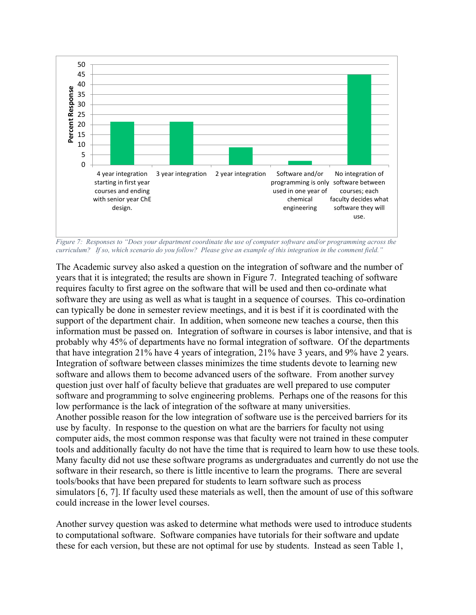

<span id="page-7-0"></span>*Figure 7: Responses to "Does your department coordinate the use of computer software and/or programming across the curriculum? If so, which scenario do you follow? Please give an example of this integration in the comment field."*

The Academic survey also asked a question on the integration of software and the number of years that it is integrated; the results are shown in [Figure 7.](#page-7-0) Integrated teaching of software requires faculty to first agree on the software that will be used and then co-ordinate what software they are using as well as what is taught in a sequence of courses. This co-ordination can typically be done in semester review meetings, and it is best if it is coordinated with the support of the department chair. In addition, when someone new teaches a course, then this information must be passed on. Integration of software in courses is labor intensive, and that is probably why 45% of departments have no formal integration of software. Of the departments that have integration 21% have 4 years of integration, 21% have 3 years, and 9% have 2 years. Integration of software between classes minimizes the time students devote to learning new software and allows them to become advanced users of the software. From another survey question just over half of faculty believe that graduates are well prepared to use computer software and programming to solve engineering problems. Perhaps one of the reasons for this low performance is the lack of integration of the software at many universities. Another possible reason for the low integration of software use is the perceived barriers for its use by faculty. In response to the question on what are the barriers for faculty not using computer aids, the most common response was that faculty were not trained in these computer tools and additionally faculty do not have the time that is required to learn how to use these tools. Many faculty did not use these software programs as undergraduates and currently do not use the software in their research, so there is little incentive to learn the programs. There are several tools/books that have been prepared for students to learn software such as process simulators [[6,](#page-12-5) [7\]](#page-12-6). If faculty used these materials as well, then the amount of use of this software could increase in the lower level courses.

Another survey question was asked to determine what methods were used to introduce students to computational software. Software companies have tutorials for their software and update these for each version, but these are not optimal for use by students. Instead as seen [Table 1,](#page-8-0)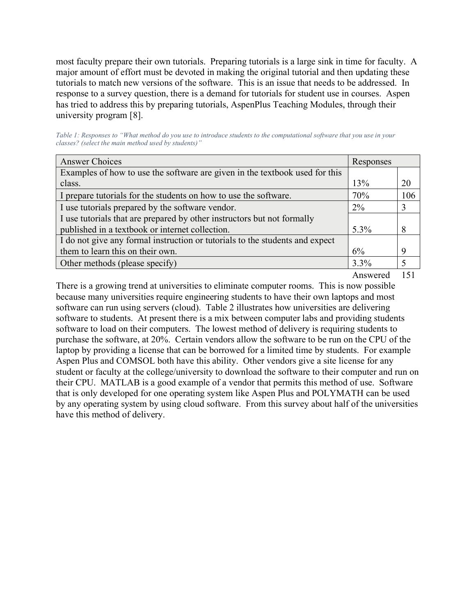most faculty prepare their own tutorials. Preparing tutorials is a large sink in time for faculty. A major amount of effort must be devoted in making the original tutorial and then updating these tutorials to match new versions of the software. This is an issue that needs to be addressed. In response to a survey question, there is a demand for tutorials for student use in courses. Aspen has tried to address this by preparing tutorials, AspenPlus Teaching Modules, through their university program [[8](#page-12-7)].

<span id="page-8-0"></span>*Table 1: Responses to "What method do you use to introduce students to the computational software that you use in your classes? (select the main method used by students)"*

| <b>Answer Choices</b>                                                        | Responses |     |  |
|------------------------------------------------------------------------------|-----------|-----|--|
| Examples of how to use the software are given in the textbook used for this  |           |     |  |
| class.                                                                       | 13%       | 20  |  |
| I prepare tutorials for the students on how to use the software.             | 70%       | 106 |  |
| I use tutorials prepared by the software vendor.                             | $2\%$     |     |  |
| I use tutorials that are prepared by other instructors but not formally      |           |     |  |
| published in a textbook or internet collection.                              | $5.3\%$   |     |  |
| I do not give any formal instruction or tutorials to the students and expect |           |     |  |
| them to learn this on their own.                                             | 6%        |     |  |
| Other methods (please specify)                                               | $3.3\%$   |     |  |

Answered 151

There is a growing trend at universities to eliminate computer rooms. This is now possible because many universities require engineering students to have their own laptops and most software can run using servers (cloud). [Table 2](#page-9-0) illustrates how universities are delivering software to students. At present there is a mix between computer labs and providing students software to load on their computers. The lowest method of delivery is requiring students to purchase the software, at 20%. Certain vendors allow the software to be run on the CPU of the laptop by providing a license that can be borrowed for a limited time by students. For example Aspen Plus and COMSOL both have this ability. Other vendors give a site license for any student or faculty at the college/university to download the software to their computer and run on their CPU. MATLAB is a good example of a vendor that permits this method of use. Software that is only developed for one operating system like Aspen Plus and POLYMATH can be used by any operating system by using cloud software. From this survey about half of the universities have this method of delivery.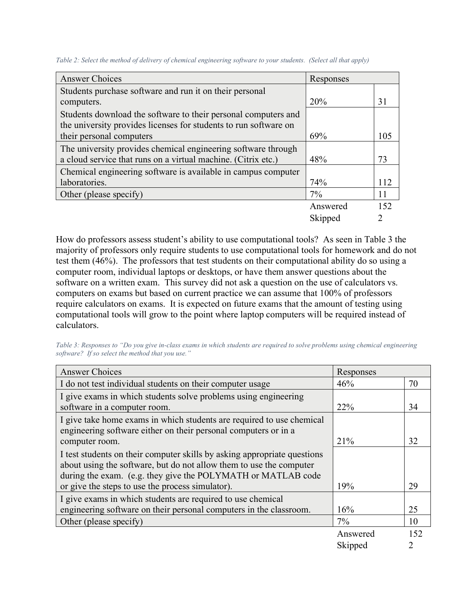| <b>Answer Choices</b>                                            | Responses |     |  |  |
|------------------------------------------------------------------|-----------|-----|--|--|
| Students purchase software and run it on their personal          |           |     |  |  |
| computers.                                                       | 20%       |     |  |  |
| Students download the software to their personal computers and   |           |     |  |  |
| the university provides licenses for students to run software on |           |     |  |  |
| their personal computers                                         | 69%       | 105 |  |  |
| The university provides chemical engineering software through    |           |     |  |  |
| a cloud service that runs on a virtual machine. (Citrix etc.)    | 48%       | 73  |  |  |
| Chemical engineering software is available in campus computer    |           |     |  |  |
| laboratories.                                                    | 74%       | 112 |  |  |
| Other (please specify)                                           | 7%        |     |  |  |
|                                                                  | Answered  | 152 |  |  |
|                                                                  | Skipped   |     |  |  |

<span id="page-9-0"></span>*Table 2: Select the method of delivery of chemical engineering software to your students. (Select all that apply)*

How do professors assess student's ability to use computational tools? As seen in [Table 3](#page-9-1) the majority of professors only require students to use computational tools for homework and do not test them (46%). The professors that test students on their computational ability do so using a computer room, individual laptops or desktops, or have them answer questions about the software on a written exam. This survey did not ask a question on the use of calculators vs. computers on exams but based on current practice we can assume that 100% of professors require calculators on exams. It is expected on future exams that the amount of testing using computational tools will grow to the point where laptop computers will be required instead of calculators.

<span id="page-9-1"></span>*Table 3: Responses to "Do you give in-class exams in which students are required to solve problems using chemical engineering software? If so select the method that you use."*

| <b>Answer Choices</b>                                                                                                                                                                                           | Responses |     |
|-----------------------------------------------------------------------------------------------------------------------------------------------------------------------------------------------------------------|-----------|-----|
| I do not test individual students on their computer usage                                                                                                                                                       | 46%       | 70  |
| I give exams in which students solve problems using engineering<br>software in a computer room.                                                                                                                 | 22%       | 34  |
| I give take home exams in which students are required to use chemical<br>engineering software either on their personal computers or in a                                                                        |           |     |
| computer room.                                                                                                                                                                                                  | 21%       | 32  |
| I test students on their computer skills by asking appropriate questions<br>about using the software, but do not allow them to use the computer<br>during the exam. (e.g. they give the POLYMATH or MATLAB code |           |     |
| or give the steps to use the process simulator).                                                                                                                                                                | 19%       | 29  |
| I give exams in which students are required to use chemical<br>engineering software on their personal computers in the classroom.                                                                               | 16%       | 25  |
| Other (please specify)                                                                                                                                                                                          | $7\%$     | 10  |
|                                                                                                                                                                                                                 | Answered  | 152 |
|                                                                                                                                                                                                                 | Skipped   |     |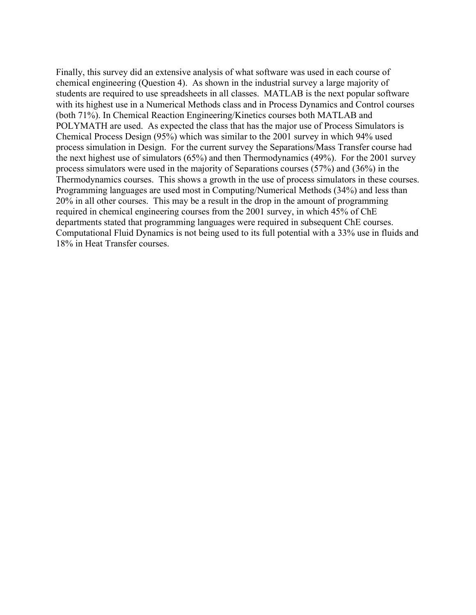Finally, this survey did an extensive analysis of what software was used in each course of chemical engineering (Question 4). As shown in the industrial survey a large majority of students are required to use spreadsheets in all classes. MATLAB is the next popular software with its highest use in a Numerical Methods class and in Process Dynamics and Control courses (both 71%). In Chemical Reaction Engineering/Kinetics courses both MATLAB and POLYMATH are used. As expected the class that has the major use of Process Simulators is Chemical Process Design (95%) which was similar to the 2001 survey in which 94% used process simulation in Design. For the current survey the Separations/Mass Transfer course had the next highest use of simulators (65%) and then Thermodynamics (49%). For the 2001 survey process simulators were used in the majority of Separations courses (57%) and (36%) in the Thermodynamics courses. This shows a growth in the use of process simulators in these courses. Programming languages are used most in Computing/Numerical Methods (34%) and less than 20% in all other courses. This may be a result in the drop in the amount of programming required in chemical engineering courses from the 2001 survey, in which 45% of ChE departments stated that programming languages were required in subsequent ChE courses. Computational Fluid Dynamics is not being used to its full potential with a 33% use in fluids and 18% in Heat Transfer courses.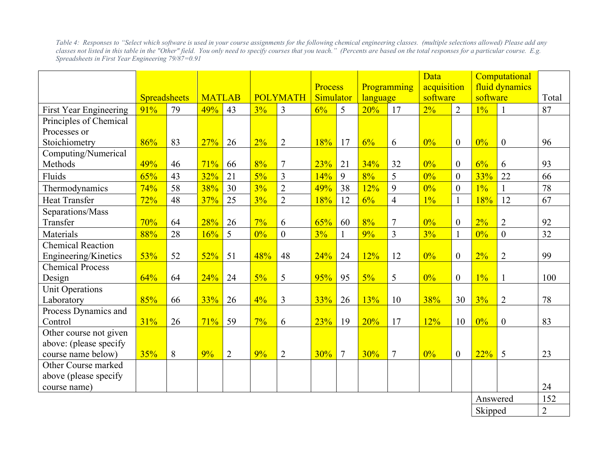*Table 4: Responses to "Select which software is used in your course assignments for the following chemical engineering classes. (multiple selections allowed) Please add any classes not listed in this table in the "Other" field. You only need to specify courses that you teach." (Percents are based on the total responses for a particular course. E.g. Spreadsheets in First Year Engineering 79/87=0.91*

|                               |                     |    |               |                |                 |                |                      |                | Data                    |                | Computational           |                  |                            |                |       |
|-------------------------------|---------------------|----|---------------|----------------|-----------------|----------------|----------------------|----------------|-------------------------|----------------|-------------------------|------------------|----------------------------|----------------|-------|
|                               |                     |    | <b>MATLAB</b> |                | <b>POLYMATH</b> |                | Process<br>Simulator |                | Programming<br>language |                | acquisition<br>software |                  | fluid dynamics<br>software |                |       |
|                               | <b>Spreadsheets</b> |    |               |                |                 |                |                      |                |                         |                |                         |                  |                            |                | Total |
| <b>First Year Engineering</b> | 91%                 | 79 | 49%           | 43             | 3%              | $\overline{3}$ | 6%                   | 5              | 20%                     | 17             | 2%                      | $\overline{2}$   | $1\%$                      | $\mathbf{1}$   | 87    |
| Principles of Chemical        |                     |    |               |                |                 |                |                      |                |                         |                |                         |                  |                            |                |       |
| Processes or                  |                     |    |               |                |                 |                |                      |                |                         |                |                         |                  |                            |                |       |
| Stoichiometry                 | 86%                 | 83 | 27%           | 26             | 2%              | $\overline{2}$ | 18%                  | 17             | 6%                      | 6              | 0%                      | $\overline{0}$   | 0%                         | $\mathbf{0}$   | 96    |
| Computing/Numerical           |                     |    |               |                |                 |                |                      |                |                         |                |                         |                  |                            |                |       |
| Methods                       | 49%                 | 46 | 71%           | 66             | 8%              | $\overline{7}$ | 23%                  | 21             | 34%                     | 32             | 0%                      | $\overline{0}$   | 6%                         | 6              | 93    |
| Fluids                        | 65%                 | 43 | 32%           | 21             | $5\%$           | $\overline{3}$ | 14%                  | 9              | 8%                      | 5              | 0%                      | $\overline{0}$   | 33%                        | 22             | 66    |
| Thermodynamics                | 74%                 | 58 | 38%           | 30             | 3%              | $\overline{2}$ | 49%                  | 38             | 12%                     | 9              | 0%                      | $\overline{0}$   | $1\%$                      | $\mathbf{1}$   | 78    |
| <b>Heat Transfer</b>          | 72%                 | 48 | 37%           | 25             | 3%              | $\overline{2}$ | 18%                  | 12             | 6%                      | $\overline{4}$ | $1\%$                   | $\mathbf{1}$     | 18%                        | 12             | 67    |
| Separations/Mass              |                     |    |               |                |                 |                |                      |                |                         |                |                         |                  |                            |                |       |
| Transfer                      | 70%                 | 64 | 28%           | 26             | 7%              | 6              | 65%                  | 60             | 8%                      | $\tau$         | 0%                      | $\overline{0}$   | 2%                         | $\overline{2}$ | 92    |
| Materials                     | 88%                 | 28 | 16%           | 5              | 0%              | $\theta$       | 3%                   |                | 9%                      | $\overline{3}$ | 3%                      | $\mathbf{1}$     | 0%                         | $\overline{0}$ | 32    |
| <b>Chemical Reaction</b>      |                     |    |               |                |                 |                |                      |                |                         |                |                         |                  |                            |                |       |
| Engineering/Kinetics          | 53%                 | 52 | 52%           | 51             | 48%             | 48             | 24%                  | 24             | 12%                     | 12             | 0%                      | $\boldsymbol{0}$ | 2%                         | $\overline{2}$ | 99    |
| <b>Chemical Process</b>       |                     |    |               |                |                 |                |                      |                |                         |                |                         |                  |                            |                |       |
| Design                        | 64%                 | 64 | 24%           | 24             | $5\%$           | 5              | 95%                  | 95             | $5\%$                   | 5              | 0%                      | $\overline{0}$   | $1\%$                      | $\mathbf{1}$   | 100   |
| Unit Operations               |                     |    |               |                |                 |                |                      |                |                         |                |                         |                  |                            |                |       |
| Laboratory                    | 85%                 | 66 | 33%           | 26             | $4\%$           | $\overline{3}$ | 33%                  | 26             | 13%                     | 10             | 38%                     | 30               | 3%                         | $\overline{2}$ | 78    |
| Process Dynamics and          |                     |    |               |                |                 |                |                      |                |                         |                |                         |                  |                            |                |       |
| Control                       | 31%                 | 26 | 71%           | 59             | 7%              | 6              | 23%                  | 19             | 20%                     | 17             | 12%                     | 10               | $0\%$                      | $\overline{0}$ | 83    |
| Other course not given        |                     |    |               |                |                 |                |                      |                |                         |                |                         |                  |                            |                |       |
| above: (please specify        |                     |    |               |                |                 |                |                      |                |                         |                |                         |                  |                            |                |       |
| course name below)            | 35%                 | 8  | $9\%$         | $\overline{2}$ | $9\%$           | $\overline{2}$ | 30%                  | $\overline{7}$ | 30%                     | $\tau$         | 0%                      | $\overline{0}$   | 22%                        | 5              | 23    |
| Other Course marked           |                     |    |               |                |                 |                |                      |                |                         |                |                         |                  |                            |                |       |
| above (please specify         |                     |    |               |                |                 |                |                      |                |                         |                |                         |                  |                            |                |       |
| course name)                  |                     |    |               |                |                 |                |                      |                |                         |                |                         |                  |                            |                | 24    |
|                               |                     |    |               |                |                 |                |                      |                |                         |                | Answered                |                  | 152                        |                |       |
|                               |                     |    |               |                |                 |                |                      |                |                         | Skipped        |                         | $\overline{2}$   |                            |                |       |